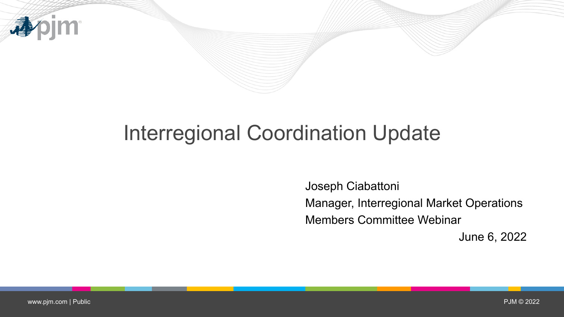

# Interregional Coordination Update

Joseph Ciabattoni Manager, Interregional Market Operations Members Committee Webinar June 6, 2022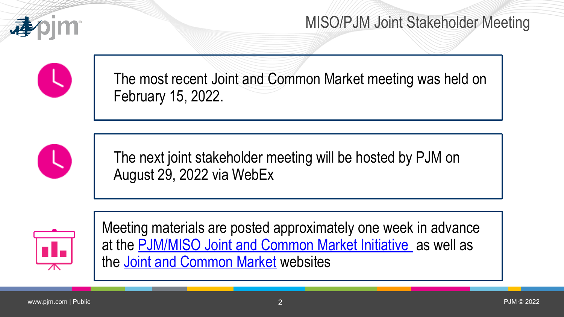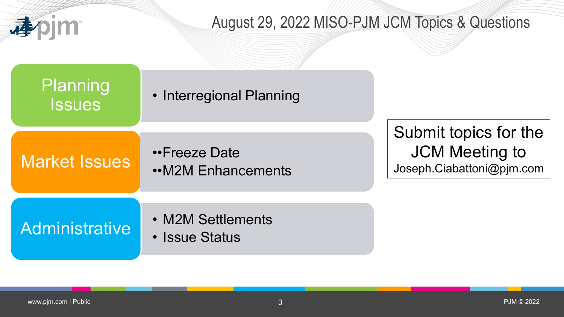

### August 29, 2022 MISO-PJM JCM Topics & Questions

Planning | Interregional Planning

••Freeze Date ••M2M Enhancements Submit topics for the JCM Meeting to Joseph.Ciabattoni@pjm.com

# **Administrative**

**Issues** 

Market Issues

- M2M Settlements
- Issue Status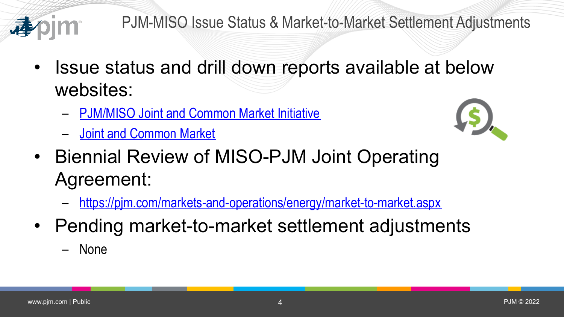

 $\mathbf{u}$  .

 $\equiv$ 

 $\overline{0}$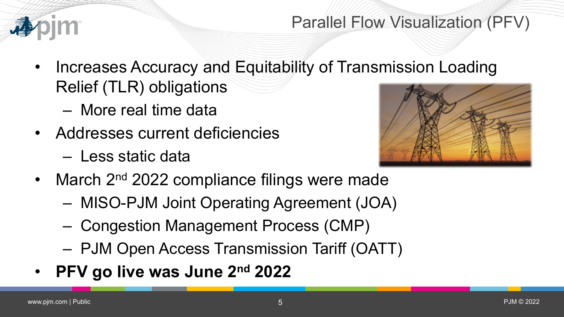![](_page_4_Picture_0.jpeg)

### Parallel Flow Visualization (PFV)

- Increases Accuracy and Equitability of Transmission Loading Relief (TLR) obligations
	- More real time data
- Addresses current deficiencies
	- Less static data

![](_page_4_Picture_6.jpeg)

- March 2<sup>nd</sup> 2022 compliance filings were made
	- MISO-PJM Joint Operating Agreement (JOA)
	- Congestion Management Process (CMP)
	- PJM Open Access Transmission Tariff (OATT)
- **PFV go live was June 2nd 2022**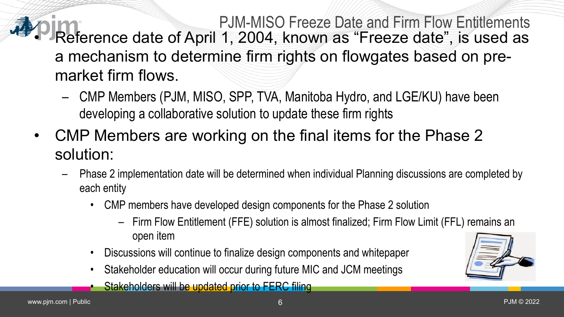#### PJM-MISO Freeze Date and Firm Flow Entitlements • Reference date of April 1, 2004, known as "Freeze date", is used as a mechanism to determine firm rights on flowgates based on premarket firm flows.

- CMP Members (PJM, MISO, SPP, TVA, Manitoba Hydro, and LGE/KU) have been developing a collaborative solution to update these firm rights
- CMP Members are working on the final items for the Phase 2 solution:
	- Phase 2 implementation date will be determined when individual Planning discussions are completed by each entity
		- CMP members have developed design components for the Phase 2 solution
			- Firm Flow Entitlement (FFE) solution is almost finalized; Firm Flow Limit (FFL) remains an open item
		- Discussions will continue to finalize design components and whitepaper
		- Stakeholder education will occur during future MIC and JCM meetings
			- Stakeholders will be updated prior to FERC filing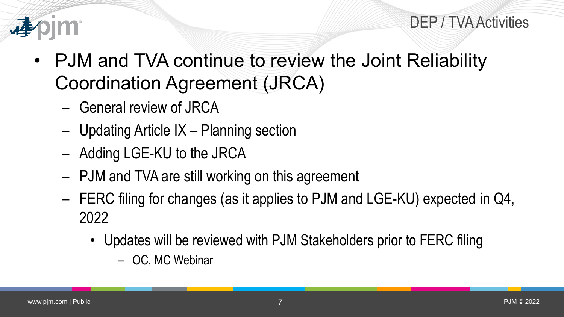#### DEP / TVA Activities

![](_page_6_Picture_1.jpeg)

- PJM and TVA continue to review the Joint Reliability Coordination Agreement (JRCA)
	- General review of JRCA
	- Updating Article IX Planning section
	- Adding LGE-KU to the JRCA
	- PJM and TVA are still working on this agreement
	- FERC filing for changes (as it applies to PJM and LGE-KU) expected in Q4, 2022
		- Updates will be reviewed with PJM Stakeholders prior to FERC filing
			- OC, MC Webinar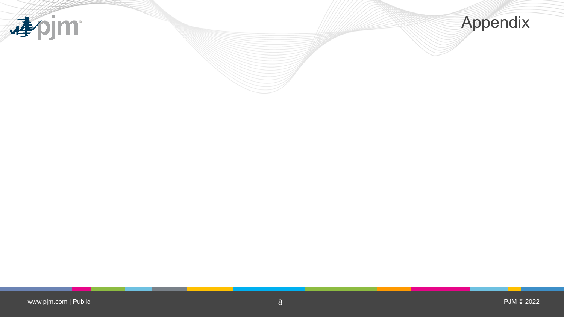![](_page_7_Picture_0.jpeg)

![](_page_7_Picture_1.jpeg)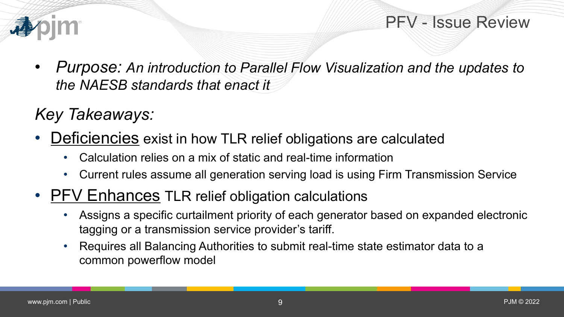![](_page_8_Picture_0.jpeg)

PFV - Issue Review

• *Purpose: An introduction to Parallel Flow Visualization and the updates to the NAESB standards that enact it*

## *Key Takeaways:*

- Deficiencies exist in how TLR relief obligations are calculated
	- Calculation relies on a mix of static and real-time information
	- Current rules assume all generation serving load is using Firm Transmission Service
- PFV Enhances TLR relief obligation calculations
	- Assigns a specific curtailment priority of each generator based on expanded electronic tagging or a transmission service provider's tariff.
	- Requires all Balancing Authorities to submit real-time state estimator data to a common powerflow model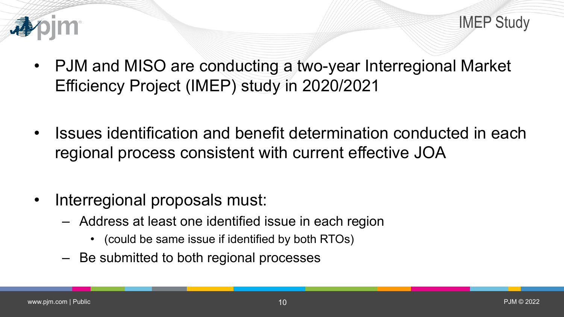![](_page_9_Picture_0.jpeg)

- PJM and MISO are conducting a two-year Interregional Market Efficiency Project (IMEP) study in 2020/2021
- Issues identification and benefit determination conducted in each regional process consistent with current effective JOA
- Interregional proposals must:
	- Address at least one identified issue in each region
		- (could be same issue if identified by both RTOs)
	- Be submitted to both regional processes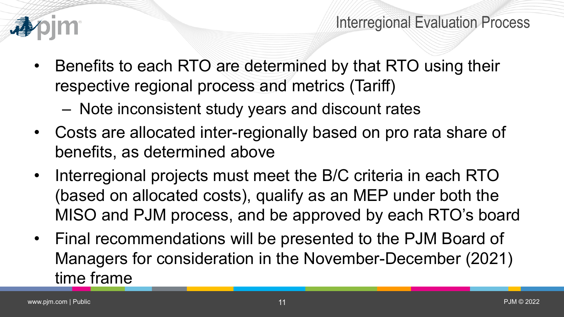![](_page_10_Picture_0.jpeg)

- Benefits to each RTO are determined by that RTO using their respective regional process and metrics (Tariff)
	- Note inconsistent study years and discount rates
- Costs are allocated inter-regionally based on pro rata share of benefits, as determined above
- Interregional projects must meet the B/C criteria in each RTO (based on allocated costs), qualify as an MEP under both the MISO and PJM process, and be approved by each RTO's board
- Final recommendations will be presented to the PJM Board of Managers for consideration in the November-December (2021) time frame